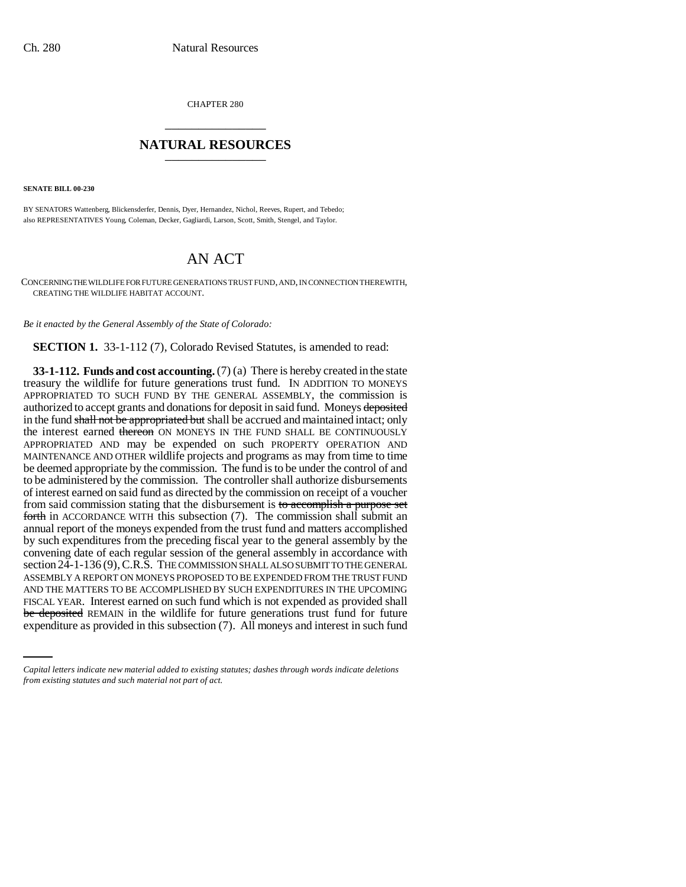CHAPTER 280 \_\_\_\_\_\_\_\_\_\_\_\_\_\_\_

## **NATURAL RESOURCES** \_\_\_\_\_\_\_\_\_\_\_\_\_\_\_

**SENATE BILL 00-230** 

BY SENATORS Wattenberg, Blickensderfer, Dennis, Dyer, Hernandez, Nichol, Reeves, Rupert, and Tebedo; also REPRESENTATIVES Young, Coleman, Decker, Gagliardi, Larson, Scott, Smith, Stengel, and Taylor.

## AN ACT

CONCERNING THE WILDLIFE FOR FUTURE GENERATIONS TRUST FUND, AND, IN CONNECTION THEREWITH, CREATING THE WILDLIFE HABITAT ACCOUNT.

*Be it enacted by the General Assembly of the State of Colorado:*

**SECTION 1.** 33-1-112 (7), Colorado Revised Statutes, is amended to read:

FISCAL YEAR. Interest earned on such fund which is not expended as provided shall **33-1-112. Funds and cost accounting.** (7) (a) There is hereby created in the state treasury the wildlife for future generations trust fund. IN ADDITION TO MONEYS APPROPRIATED TO SUCH FUND BY THE GENERAL ASSEMBLY, the commission is authorized to accept grants and donations for deposit in said fund. Moneys deposited in the fund shall not be appropriated but shall be accrued and maintained intact; only the interest earned thereon ON MONEYS IN THE FUND SHALL BE CONTINUOUSLY APPROPRIATED AND may be expended on such PROPERTY OPERATION AND MAINTENANCE AND OTHER wildlife projects and programs as may from time to time be deemed appropriate by the commission. The fund is to be under the control of and to be administered by the commission. The controller shall authorize disbursements of interest earned on said fund as directed by the commission on receipt of a voucher from said commission stating that the disbursement is to accomplish a purpose set forth in ACCORDANCE WITH this subsection (7). The commission shall submit an annual report of the moneys expended from the trust fund and matters accomplished by such expenditures from the preceding fiscal year to the general assembly by the convening date of each regular session of the general assembly in accordance with section 24-1-136 (9), C.R.S. THE COMMISSION SHALL ALSO SUBMIT TO THE GENERAL ASSEMBLY A REPORT ON MONEYS PROPOSED TO BE EXPENDED FROM THE TRUST FUND AND THE MATTERS TO BE ACCOMPLISHED BY SUCH EXPENDITURES IN THE UPCOMING be deposited REMAIN in the wildlife for future generations trust fund for future expenditure as provided in this subsection (7). All moneys and interest in such fund

*Capital letters indicate new material added to existing statutes; dashes through words indicate deletions from existing statutes and such material not part of act.*